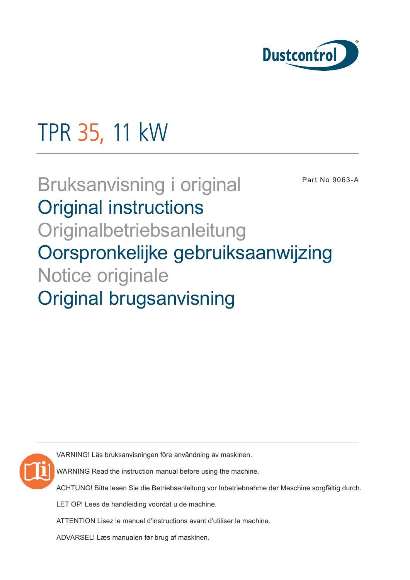

# TPR 35, 11 kW

# Bruksanvisning i original Original instructions **Originalbetriebsanleitung** Oorspronkelijke gebruiksaanwijzing Notice originale Original brugsanvisning Part No 9063-A

VARNING! Läs bruksanvisningen före användning av maskinen.

WARNING Read the instruction manual before using the machine.

ACHTUNG! Bitte lesen Sie die Betriebsanleitung vor Inbetriebnahme der Maschine sorgfältig durch.

LET OP! Lees de handleiding voordat u de machine.

ATTENTION Lisez le manuel d'instructions avant d'utiliser la machine.

ADVARSEL! Læs manualen før brug af maskinen.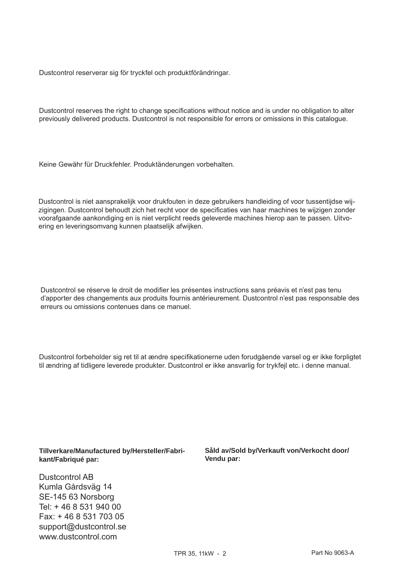Dustcontrol reserverar sig för tryckfel och produktförändringar.

Dustcontrol reserves the right to change specifications without notice and is under no obligation to alter previously delivered products. Dustcontrol is not responsible for errors or omissions in this catalogue.

Keine Gewähr für Druckfehler. Produktänderungen vorbehalten.

Dustcontrol is niet aansprakelijk voor drukfouten in deze gebruikers handleiding of voor tussentijdse wijzigingen. Dustcontrol behoudt zich het recht voor de specificaties van haar machines te wijzigen zonder voorafgaande aankondiging en is niet verplicht reeds geleverde machines hierop aan te passen. Uitvoering en leveringsomvang kunnen plaatselijk afwijken.

Dustcontrol se réserve le droit de modifier les présentes instructions sans préavis et n'est pas tenu d'apporter des changements aux produits fournis antérieurement. Dustcontrol n'est pas responsable des erreurs ou omissions contenues dans ce manuel.

Dustcontrol forbeholder sig ret til at ændre specifikationerne uden forudgående varsel og er ikke forpligtet til ændring af tidligere leverede produkter. Dustcontrol er ikke ansvarlig for trykfejl etc. i denne manual.

**Tillverkare/Manufactured by/Hersteller/Fabrikant/Fabriqué par:**

Dustcontrol AB Kumla Gårdsväg 14 SE-145 63 Norsborg Tel: + 46 8 531 940 00 Fax: + 46 8 531 703 05 support@dustcontrol.se www.dustcontrol.com

**Såld av/Sold by/Verkauft von/Verkocht door/ Vendu par:**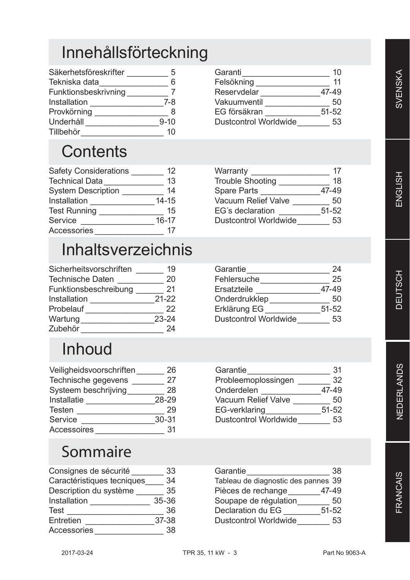# Innehållsförteckning

| Säkerhetsföreskrifter | 5        |
|-----------------------|----------|
| Tekniska data         | հ        |
| Funktionsbeskrivning  |          |
| Installation          | 7-8      |
| Provkörning           | 8        |
| Underhåll             | $9 - 10$ |
| Tillbehör             | 10       |
|                       |          |

# **Contents**

| <b>Safety Considerations</b> | 12        |
|------------------------------|-----------|
| <b>Technical Data</b>        | 13        |
| <b>System Description</b>    | 14        |
| Installation                 | $14 - 15$ |
| <b>Test Running</b>          | 15        |
| Service                      | $16 - 17$ |
| Accessories                  |           |

# Inhaltsverzeichnis

| Sicherheitsvorschriften | 19        |
|-------------------------|-----------|
| <b>Technische Daten</b> | 20        |
| Funktionsbeschreibung   | 21        |
| Installation            | $21 - 22$ |
| Probelauf               | 22        |
| Wartung                 | $23 - 24$ |
| Zubehör                 |           |

# Inhoud

| Veiligheidsvoorschriften | 26        |
|--------------------------|-----------|
| Technische gegevens      | 27        |
| Systeem beschrijving     | 28        |
| Installatie              | 28-29     |
| <b>Testen</b>            | 29        |
| Service                  | $30 - 31$ |
| <b>Accessoires</b>       | 31        |

# Sommaire

| Consignes de sécurité      | 33        |
|----------------------------|-----------|
| Caractéristiques tecniques | 34        |
| Description du système     | 35        |
| Installation               | $35 - 36$ |
| <b>Test</b>                | 36        |
| Entretien                  | 37-38     |
| <b>Accessories</b>         | 38        |

| Garanti                      | 10        |
|------------------------------|-----------|
| Felsökning                   | 11        |
| Reservdelar                  | 47-49     |
| Vakuumventil                 | 50        |
| EG försäkran                 | $51 - 52$ |
| <b>Dustcontrol Worldwide</b> | 53        |

| Warranty                     | 17        |
|------------------------------|-----------|
| <b>Trouble Shooting</b>      | 18        |
| <b>Spare Parts</b>           | 47-49     |
| <b>Vacuum Relief Valve</b>   | 50        |
| EG's declaration             | $51 - 52$ |
| <b>Dustcontrol Worldwide</b> | 53        |

| Garantie                     | 24        |
|------------------------------|-----------|
| Fehlersuche                  | 25        |
| Ersatzteile                  | 47-49     |
| Onderdrukklep                | 50        |
| Erklärung EG                 | $51 - 52$ |
| <b>Dustcontrol Worldwide</b> | 53        |

| Garantie                     | 31        |
|------------------------------|-----------|
| Probleemoplossingen          | 32        |
| Onderdelen                   | 47-49     |
| <b>Vacuum Relief Valve</b>   | 50        |
| <b>EG-verklaring</b>         | $51 - 52$ |
| <b>Dustcontrol Worldwide</b> | 53        |

| Garantie                            | 38        |
|-------------------------------------|-----------|
| Tableau de diagnostic des pannes 39 |           |
| Pièces de rechange                  | 47-49     |
| Soupape de régulation               | 50        |
| Declaration du EG                   | $51 - 52$ |
| <b>Dustcontrol Worldwide</b>        | 53        |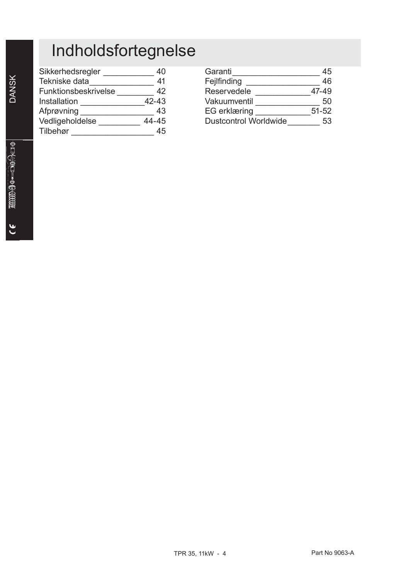# Indholdsfortegnelse

| Sikkerhedsregler     | 40    |
|----------------------|-------|
| Tekniske data        | 41    |
| Funktionsbeskrivelse | 42    |
| Installation         | 42-43 |
| Afprøvning           | 43    |
| Vedligeholdelse      | 44-45 |
| Tilbehør             |       |

| Garanti                      | 45        |
|------------------------------|-----------|
| Fejlfinding                  | 46        |
| Reservedele                  | 47-49     |
| Vakuumventil                 | 50        |
| EG erklæring                 | $51 - 52$ |
| <b>Dustcontrol Worldwide</b> | 53        |

DANSK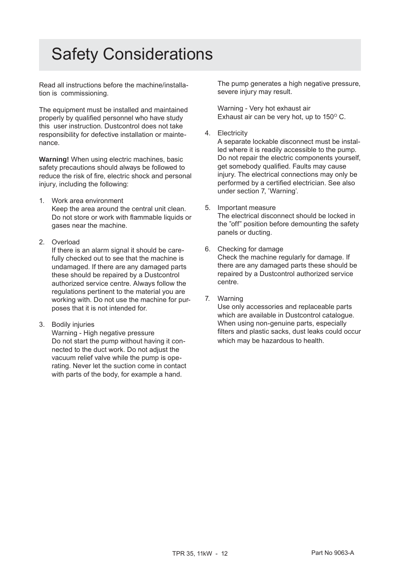# Safety Considerations

Read all instructions before the machine/installation is commissioning.

The equipment must be installed and maintained properly by qualified personnel who have study this user instruction. Dustcontrol does not take responsibility for defective installation or maintenance.

**Warning!** When using electric machines, basic safety precautions should always be followed to reduce the risk of fire, electric shock and personal injury, including the following:

- 1. Work area environment Keep the area around the central unit clean. Do not store or work with flammable liquids or gases near the machine.
- 2. Overload

 If there is an alarm signal it should be carefully checked out to see that the machine is undamaged. If there are any damaged parts these should be repaired by a Dustcontrol authorized service centre. Always follow the regulations pertinent to the material you are working with. Do not use the machine for purposes that it is not intended for.

3. Bodily injuries

 Warning - High negative pressure Do not start the pump without having it connected to the duct work. Do not adjust the vacuum relief valve while the pump is operating. Never let the suction come in contact with parts of the body, for example a hand.

The pump generates a high negative pressure, severe injury may result.

Warning - Very hot exhaust air Exhaust air can be very hot, up to  $150^{\circ}$  C.

4. Electricity

 A separate lockable disconnect must be installed where it is readily accessible to the pump. Do not repair the electric components yourself, get somebody qualified. Faults may cause injury. The electrical connections may only be performed by a certified electrician. See also under section 7, 'Warning'.

5. Important measure

 The electrical disconnect should be locked in the "off" position before demounting the safety panels or ducting.

- 6. Checking for damage Check the machine regularly for damage. If there are any damaged parts these should be repaired by a Dustcontrol authorized service centre.
- 7. Warning

 Use only accessories and replaceable parts which are available in Dustcontrol catalogue. When using non-genuine parts, especially filters and plastic sacks, dust leaks could occur which may be hazardous to health.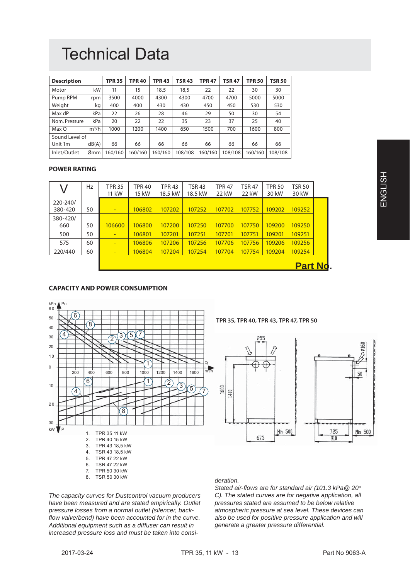# Technical Data

| <b>Description</b>  |         | <b>TPR 35</b> | <b>TPR 40</b> | <b>TPR 43</b> | <b>TSR 43</b> | <b>TPR 47</b> | <b>TSR 47</b> | <b>TPR 50</b> | <b>TSR 50</b> |
|---------------------|---------|---------------|---------------|---------------|---------------|---------------|---------------|---------------|---------------|
| Motor               | kW      | 11            | 15            | 18.5          | 18,5          | 22            | 22            | 30            | 30            |
| Pump RPM            | rpm     | 3500          | 4000          | 4300          | 4300          | 4700          | 4700          | 5000          | 5000          |
| Weight              | kg      | 400           | 400           | 430           | 430           | 450           | 450           | 530           | 530           |
| Max dP              | kPa     | 22            | 26            | 28            | 46            | 29            | 50            | 30            | 54            |
| Nom. Pressure       | kPa     | 20            | 22            | 22            | 35            | 23            | 37            | 25            | 40            |
| Max O               | $m^3/h$ | 1000          | 1200          | 1400          | 650           | 1500          | 700           | 1600          | 800           |
| Sound Level of      |         |               |               |               |               |               |               |               |               |
| Unit 1 <sub>m</sub> | dB(A)   | 66            | 66            | 66            | 66            | 66            | 66            | 66            | 66            |
| Inlet/Outlet        | Ømm'    | 160/160       | 160/160       | 160/160       | 108/108       | 160/160       | 108/108       | 160/160       | 108/108       |

# **POWER RATING**

|                     | Hz | <b>TPR 35</b><br>11 kW   | <b>TPR 40</b><br>15 kW | <b>TPR 43</b><br>18.5 kW | <b>TSR 43</b><br>18.5 kW | <b>TPR 47</b><br>22 kW | <b>TSR 47</b><br>22 kW | <b>TPR 50</b><br>30 kW | <b>TSR 50</b><br>30 kW |  |
|---------------------|----|--------------------------|------------------------|--------------------------|--------------------------|------------------------|------------------------|------------------------|------------------------|--|
| 220-240/<br>380-420 | 50 | $\overline{\phantom{0}}$ | 106802                 | 107202                   | 107252                   | 107702                 | 107752                 | 109202                 | 109252                 |  |
| 380-420/<br>660     | 50 | 106600                   | 106800                 | 107200                   | 107250                   | 107700                 | 107750                 | 109200                 | 109250                 |  |
| 500                 | 50 |                          | 106801                 | 107201                   | 107251                   | 107701                 | 107751                 | 109201                 | 109251                 |  |
| 575                 | 60 | $\overline{\phantom{0}}$ | 106806                 | 107206                   | 107256                   | 107706                 | 107756                 | 109206                 | 109256                 |  |
| 220/440             | 60 | ٠                        | 106804                 | 107204                   | 107254                   | 107704                 | 107754                 | 109204                 | 109254                 |  |
|                     |    |                          |                        |                          |                          |                        |                        |                        | <b>Part Nd.</b>        |  |

### **CAPACITY AND POWER CONSUMPTION**



*The capacity curves for Dustcontrol vacuum producers have been measured and are stated empirically. Outlet pressure losses from a normal outlet (silencer, backfl ow valve/bend) have been accounted for in the curve. Additional equipment such as a diffuser can result in increased pressure loss and must be taken into consi-*

# *deration.*

*Stated air-fl ows are for standard air (101.3 kPa@ 20o C). The stated curves are for negative application, all pressures stated are assumed to be below relative atmospheric pressure at sea level. These devices can also be used for positive pressure application and will generate a greater pressure differential.*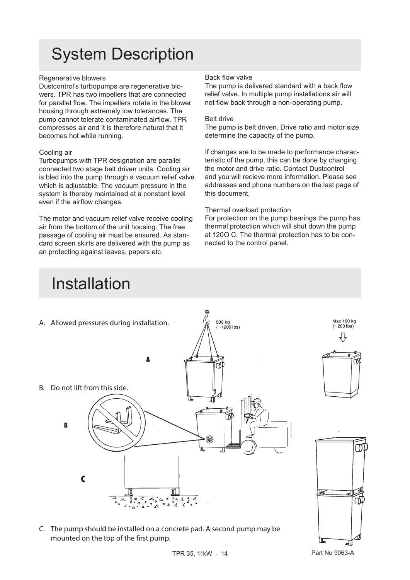# System Description

# Regenerative blowers

Dustcontrol's turbopumps are regenerative blowers. TPR has two impellers that are connected for parallel flow. The impellers rotate in the blower housing through extremely low tolerances. The pump cannot tolerate contaminated airflow. TPR compresses air and it is therefore natural that it becomes hot while running.

# Cooling air

Turbopumps with TPR designation are parallel connected two stage belt driven units. Cooling air is bled into the pump through a vacuum relief valve which is adjustable. The vacuum pressure in the system is thereby maintained at a constant level even if the airflow changes.

The motor and vacuum relief valve receive cooling air from the bottom of the unit housing. The free passage of cooling air must be ensured. As standard screen skirts are delivered with the pump as an protecting against leaves, papers etc.

# Back flow valve

The pump is delivered standard with a back flow relief valve. In multiple pump installations air will not flow back through a non-operating pump.

### Belt drive

The pump is belt driven. Drive ratio and motor size determine the capacity of the pump.

If changes are to be made to performance characteristic of the pump, this can be done by changing the motor and drive ratio. Contact Dustcontrol and you will recieve more information. Please see addresses and phone numbers on the last page of this document.

# Thermal overload protection

For protection on the pump bearings the pump has thermal protection which will shut down the pump at 120O C. The thermal protection has to be connected to the control panel.



C. The pump should be installed on a concrete pad. A second pump may be mounted on the top of the first pump.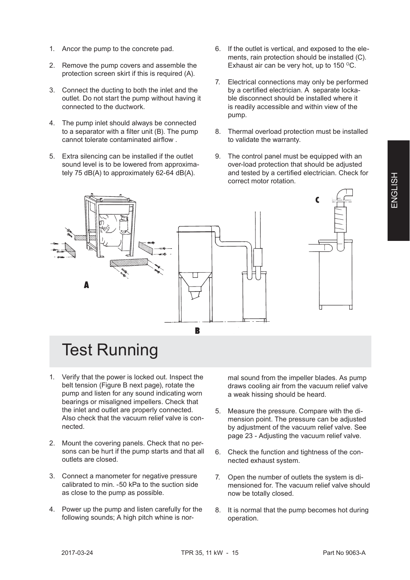- 1. Ancor the pump to the concrete pad.
- 2. Remove the pump covers and assemble the protection screen skirt if this is required (A).
- 3. Connect the ducting to both the inlet and the outlet. Do not start the pump without having it connected to the ductwork.
- 4. The pump inlet should always be connected to a separator with a filter unit  $(B)$ . The pump cannot tolerate contaminated airflow
- 5. Extra silencing can be installed if the outlet sound level is to be lowered from approximately 75 dB(A) to approximately 62-64 dB(A).
- 6. If the outlet is vertical, and exposed to the elements, rain protection should be installed (C). Exhaust air can be very hot, up to  $150^{\circ}$ C.
- 7. Electrical connections may only be performed by a certified electrician. A separate lockable disconnect should be installed where it is readily accessible and within view of the pump.
- 8. Thermal overload protection must be installed to validate the warranty.
- 9. The control panel must be equipped with an over-load protection that should be adjusted and tested by a certified electrician. Check for correct motor rotation.



# Test Running

- 1. Verify that the power is locked out. Inspect the belt tension (Figure B next page), rotate the pump and listen for any sound indicating worn bearings or misaligned impellers. Check that the inlet and outlet are properly connected. Also check that the vacuum relief valve is connected.
- 2. Mount the covering panels. Check that no persons can be hurt if the pump starts and that all outlets are closed.
- 3. Connect a manometer for negative pressure calibrated to min. -50 kPa to the suction side as close to the pump as possible.
- 4. Power up the pump and listen carefully for the following sounds; A high pitch whine is nor-

mal sound from the impeller blades. As pump draws cooling air from the vacuum relief valve a weak hissing should be heard.

- 5. Measure the pressure. Compare with the dimension point. The pressure can be adjusted by adjustment of the vacuum relief valve. See page 23 - Adjusting the vacuum relief valve.
- 6. Check the function and tightness of the connected exhaust system.
- 7. Open the number of outlets the system is dimensioned for. The vacuum relief valve should now be totally closed.
- 8. It is normal that the pump becomes hot during operation.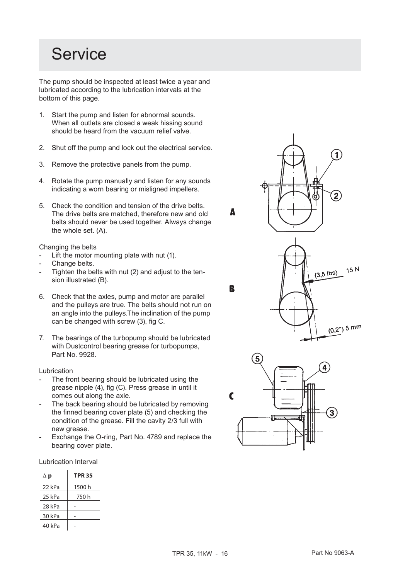# **Service**

The pump should be inspected at least twice a year and lubricated according to the lubrication intervals at the bottom of this page.

- 1. Start the pump and listen for abnormal sounds. When all outlets are closed a weak hissing sound should be heard from the vacuum relief valve.
- 2. Shut off the pump and lock out the electrical service.
- 3. Remove the protective panels from the pump.
- 4. Rotate the pump manually and listen for any sounds indicating a worn bearing or misligned impellers.
- 5. Check the condition and tension of the drive belts. The drive belts are matched, therefore new and old belts should never be used together. Always change the whole set. (A).

Changing the belts

- Lift the motor mounting plate with nut (1).
- Change belts.
- Tighten the belts with nut (2) and adjust to the tension illustrated (B).
- 6. Check that the axles, pump and motor are parallel and the pulleys are true. The belts should not run on an angle into the pulleys.The inclination of the pump can be changed with screw (3), fig C.
- 7. The bearings of the turbopump should be lubricated with Dustcontrol bearing grease for turbopumps, Part No. 9928.

# Lubrication

- The front bearing should be lubricated using the grease nipple (4), fig (C). Press grease in until it comes out along the axle.
- The back bearing should be lubricated by removing the finned bearing cover plate (5) and checking the condition of the grease. Fill the cavity 2/3 full with new grease.
- Exchange the O-ring, Part No. 4789 and replace the bearing cover plate.

Lubrication Interval

| $\Delta$ p | <b>TPR 35</b> |
|------------|---------------|
| 22 kPa     | 1500 h        |
| 25 kPa     | 750 h         |
| 28 kPa     |               |
| 30 kPa     |               |
| 40 kPa     |               |

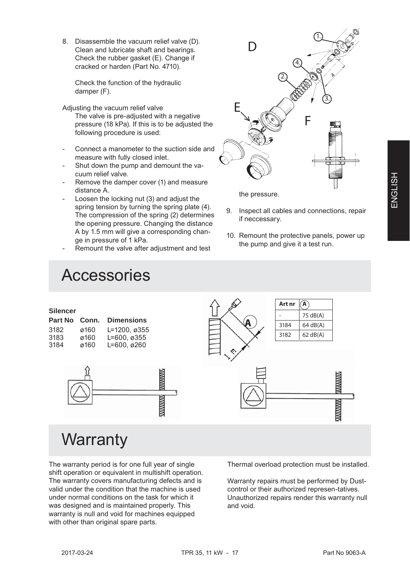8. Disassemble the vacuum relief valve (D). Clean and lubricate shaft and bearings. Check the rubber gasket (E). Change if cracked or harden (Part No. 4710).

Check the function of the hydraulic damper (F).

Adjusting the vacuum relief valve

 The valve is pre-adjusted with a negative pressure (18 kPa). If this is to be adjusted the following procedure is used:

- Connect a manometer to the suction side and measure with fully closed inlet.
- Shut down the pump and demount the vacuum relief valve.
- Remove the damper cover (1) and measure distance A.
- Loosen the locking nut (3) and adjust the spring tension by turning the spring plate (4). The compression of the spring (2) determines the opening pressure. Changing the distance A by 1.5 mm will give a corresponding change in pressure of 1 kPa.
- Remount the valve after adjustment and test

# Accessories

# F D 1. 4. 2. 3. E

the pressure.

- 9. Inspect all cables and connections, repair if neccessary.
- 10. Remount the protective panels, power up the pump and give it a test run.



The warranty period is for one full year of single shift operation or equivalent in multishift operation. The warranty covers manufacturing defects and is valid under the condition that the machine is used under normal conditions on the task for which it was designed and is maintained properly. This warranty is null and void for machines equipped with other than original spare parts.

Thermal overload protection must be installed.

Warranty repairs must be performed by Dustcontrol or their authorized represen-tatives. Unauthorized repairs render this warranty null and void.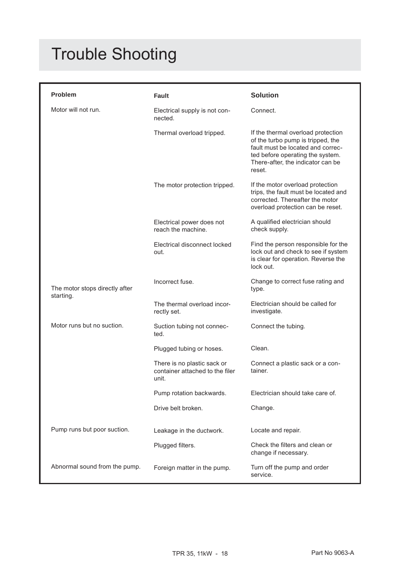# Trouble Shooting

| <b>Problem</b>                              | <b>Fault</b>                                                            | <b>Solution</b>                                                                                                                                                                                 |
|---------------------------------------------|-------------------------------------------------------------------------|-------------------------------------------------------------------------------------------------------------------------------------------------------------------------------------------------|
| Motor will not run.                         | Electrical supply is not con-<br>nected.                                | Connect.                                                                                                                                                                                        |
|                                             | Thermal overload tripped.                                               | If the thermal overload protection<br>of the turbo pump is tripped, the<br>fault must be located and correc-<br>ted before operating the system.<br>There-after, the indicator can be<br>reset. |
|                                             | The motor protection tripped.                                           | If the motor overload protection<br>trips, the fault must be located and<br>corrected. Thereafter the motor<br>overload protection can be reset.                                                |
|                                             | Electrical power does not<br>reach the machine.                         | A qualified electrician should<br>check supply.                                                                                                                                                 |
|                                             | Electrical disconnect locked<br>out.                                    | Find the person responsible for the<br>lock out and check to see if system<br>is clear for operation. Reverse the<br>lock out.                                                                  |
| The motor stops directly after<br>starting. | Incorrect fuse.                                                         | Change to correct fuse rating and<br>type.                                                                                                                                                      |
|                                             | The thermal overload incor-<br>rectly set.                              | Electrician should be called for<br>investigate.                                                                                                                                                |
| Motor runs but no suction.                  | Suction tubing not connec-<br>ted.                                      | Connect the tubing.                                                                                                                                                                             |
|                                             | Plugged tubing or hoses.                                                | Clean.                                                                                                                                                                                          |
|                                             | There is no plastic sack or<br>container attached to the filer<br>unit. | Connect a plastic sack or a con-<br>tainer.                                                                                                                                                     |
|                                             | Pump rotation backwards.                                                | Electrician should take care of.                                                                                                                                                                |
|                                             | Drive belt broken.                                                      | Change.                                                                                                                                                                                         |
| Pump runs but poor suction.                 | Leakage in the ductwork.                                                | Locate and repair.                                                                                                                                                                              |
|                                             | Plugged filters.                                                        | Check the filters and clean or<br>change if necessary.                                                                                                                                          |
| Abnormal sound from the pump.               | Foreign matter in the pump.                                             | Turn off the pump and order<br>service.                                                                                                                                                         |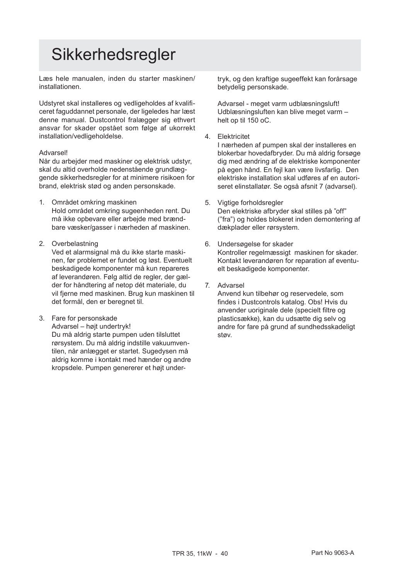# **Sikkerhedsregler**

Læs hele manualen, inden du starter maskinen/ installationen.

Udstyret skal installeres og vedligeholdes af kvalificeret faguddannet personale, der ligeledes har læst denne manual. Dustcontrol fralægger sig ethvert ansvar for skader opstået som følge af ukorrekt installation/vedligeholdelse.

# Advarsel!

Når du arbejder med maskiner og elektrisk udstyr, skal du altid overholde nedenstående grundlæggende sikkerhedsregler for at minimere risikoen for brand, elektrisk stød og anden personskade.

- 1. Området omkring maskinen Hold området omkring sugeenheden rent. Du må ikke opbevare eller arbejde med brændbare væsker/gasser i nærheden af maskinen.
- 2. Overbelastning

 Ved et alarmsignal må du ikke starte maskinen, før problemet er fundet og løst. Eventuelt beskadigede komponenter må kun repareres af leverandøren. Følg altid de regler, der gælder for håndtering af netop dét materiale, du vil fjerne med maskinen. Brug kun maskinen til det formål, den er beregnet til.

3. Fare for personskade

 Advarsel – højt undertryk! Du må aldrig starte pumpen uden tilsluttet rørsystem. Du må aldrig indstille vakuumventilen, når anlægget er startet. Sugedysen må aldrig komme i kontakt med hænder og andre kropsdele. Pumpen genererer et højt undertryk, og den kraftige sugeeffekt kan forårsage betydelig personskade.

Advarsel - meget varm udblæsningsluft! Udblæsningsluften kan blive meget varm – helt op til 150 oC.

4. Elektricitet

 I nærheden af pumpen skal der installeres en blokerbar hovedafbryder. Du må aldrig forsøge dig med ændring af de elektriske komponenter på egen hånd. En fejl kan være livsfarlig. Den elektriske installation skal udføres af en autoriseret elinstallatør. Se også afsnit 7 (advarsel).

- 5. Vigtige forholdsregler Den elektriske afbryder skal stilles på "off" ("fra") og holdes blokeret inden demontering af dækplader eller rørsystem.
- 6. Undersøgelse for skader Kontroller regelmæssigt maskinen for skader. Kontakt leverandøren for reparation af eventuelt beskadigede komponenter.
- 7. Advarsel

 Anvend kun tilbehør og reservedele, som findes i Dustcontrols katalog. Obs! Hvis du anvender uoriginale dele (specielt filtre og plasticsække), kan du udsætte dig selv og andre for fare på grund af sundhedsskadeligt støv.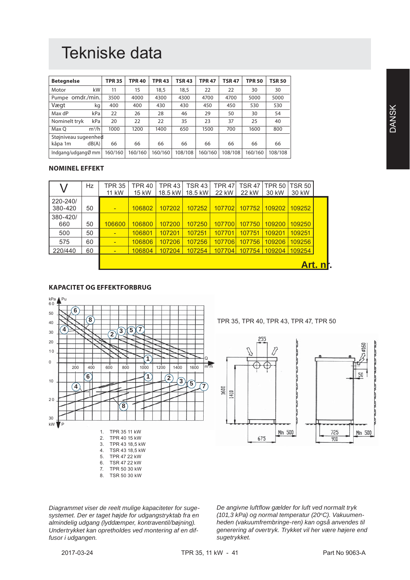# Tekniske data

| <b>Betegnelse</b>               | <b>TPR 35</b> | <b>TPR 40</b> | <b>TPR 43</b> | <b>TSR 43</b> | <b>TPR 47</b> | <b>TSR 47</b> | <b>TPR 50</b> | <b>TSR 50</b> |
|---------------------------------|---------------|---------------|---------------|---------------|---------------|---------------|---------------|---------------|
| kW<br>Motor                     | 11            | 15            | 18,5          | 18,5          | 22            | 22            | 30            | 30            |
| Pumpe omdr./min.                | 3500          | 4000          | 4300          | 4300          | 4700          | 4700          | 5000          | 5000          |
| Vægt<br>kg                      | 400           | 400           | 430           | 430           | 450           | 450           | 530           | 530           |
| Max dP<br>kPa                   | 22            | 26            | 28            | 46            | 29            | 50            | 30            | 54            |
| kPa<br>Nominelt tryk            | 20            | 22            | 22            | 35            | 23            | 37            | 25            | 40            |
| $m^3/h$<br>Max O                | 1000          | 1200          | 1400          | 650           | 1500          | 700           | 1600          | 800           |
| Støjniveau sugeenhed            |               |               |               |               |               |               |               |               |
| kåpa 1m<br>dB(A)                | 66            | 66            | 66            | 66            | 66            | 66            | 66            | 66            |
| Indgang/udgang $\varnothing$ mm | 160/160       | 160/160       | 160/160       | 108/108       | 160/160       | 108/108       | 160/160       | 108/108       |

# **NOMINEL EFFEKT**

|                     | Hz | TPR 35<br><b>11 kW</b>   | <b>TPR 40</b><br>15 kW | TPR 43<br>18.5 kW | <b>TSR 43</b><br>18.5 kW | <b>TPR 47</b><br>22 kW | <b>TSR 47</b><br>22 kW | <b>TPR 50</b><br>30 kW | <b>TSR 50</b><br>30 kW |  |
|---------------------|----|--------------------------|------------------------|-------------------|--------------------------|------------------------|------------------------|------------------------|------------------------|--|
| 220-240/<br>380-420 | 50 | $\overline{\phantom{0}}$ | 106802                 | 107202            | 107252                   | 107702                 | 107752                 | 109202                 | 109252                 |  |
| 380-420/<br>660     | 50 | 106600                   | 106800                 | 107200            | 107250                   | 107700                 | 107750                 | 109200                 | 109250                 |  |
| 500                 | 50 | -                        | 106801                 | 107201            | 107251                   | 107701                 | 107751                 | 109201                 | 109251                 |  |
| 575                 | 60 | $\overline{\phantom{0}}$ | 106806                 | 107206            | 107256                   | 107706                 | 107756                 | 109206                 | 109256                 |  |
| 220/440             | 60 | -                        | 106804                 | 107204            | 107254                   | 107704                 | 107754                 | 109204                 | 109254                 |  |
|                     |    |                          |                        |                   |                          |                        |                        |                        |                        |  |

# **KAPACITET OG EFFEKTFORBRUG**



TPR 35, TPR 40, TPR 43, TPR 47, TPR 50



*Diagrammet viser de reelt mulige kapaciteter for sugesystemet. Der er taget højde for udgangstryktab fra en almindelig udgang (lyddæmper, kontraventil/bøjning). Undertrykket kan opretholdes ved montering af en diffusor i udgangen.*

*De angivne luftfl ow gælder for luft ved normalt tryk (101,3 kPa) og normal temperatur (20oC). Vakuumenheden (vakuumfrembringe-ren) kan også anvendes til generering af overtryk. Trykket vil her være højere end sugetrykket.*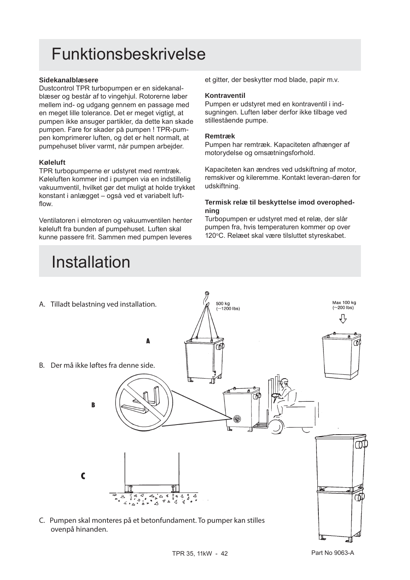# Funktionsbeskrivelse

# **Sidekanalblæsere**

Dustcontrol TPR turbopumpen er en sidekanalblæser og består af to vingehjul. Rotorerne løber mellem ind- og udgang gennem en passage med en meget lille tolerance. Det er meget vigtigt, at pumpen ikke ansuger partikler, da dette kan skade pumpen. Fare for skader på pumpen ! TPR-pumpen komprimerer luften, og det er helt normalt, at pumpehuset bliver varmt, når pumpen arbejder.

# **Køleluft**

TPR turbopumperne er udstyret med remtræk. Køleluften kommer ind i pumpen via en indstillelig vakuumventil, hvilket gør det muligt at holde trykket konstant i anlægget – også ved et variabelt luftflow.

Ventilatoren i elmotoren og vakuumventilen henter køleluft fra bunden af pumpehuset. Luften skal kunne passere frit. Sammen med pumpen leveres

# Installation

et gitter, der beskytter mod blade, papir m.v.

# **Kontraventil**

Pumpen er udstyret med en kontraventil i indsugningen. Luften løber derfor ikke tilbage ved stillestående pumpe.

# **Remtræk**

Pumpen har remtræk. Kapaciteten afhænger af motorydelse og omsætningsforhold.

Kapaciteten kan ændres ved udskiftning af motor, remskiver og kileremme. Kontakt leveran-døren for udskiftning.

# **Termisk relæ til beskyttelse imod overophedning**

Turbopumpen er udstyret med et relæ, der slår pumpen fra, hvis temperaturen kommer op over 120°C. Relæet skal være tilsluttet styreskabet.

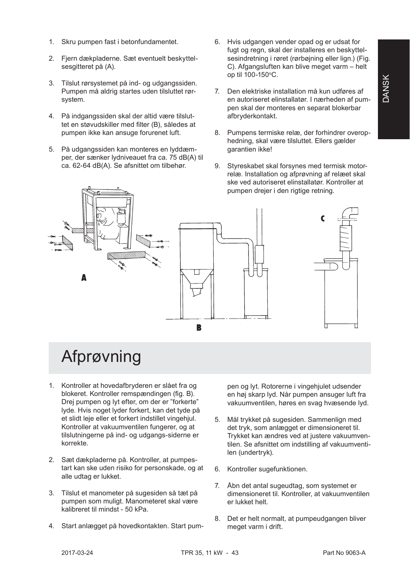- 1. Skru pumpen fast i betonfundamentet.
- 2. Fjern dækpladerne. Sæt eventuelt beskyttelsesgitteret på (A).
- 3. Tilslut rørsystemet på ind- og udgangssiden. Pumpen må aldrig startes uden tilsluttet rørsystem.
- 4. På indgangssiden skal der altid være tilsluttet en støvudskiller med filter (B), således at pumpen ikke kan ansuge forurenet luft.
- 5. På udgangssiden kan monteres en lyddæmper, der sænker lydniveauet fra ca. 75 dB(A) til ca. 62-64 dB(A). Se afsnittet om tilbehør.
- 6. Hvis udgangen vender opad og er udsat for fugt og regn, skal der installeres en beskyttelsesindretning i røret (rørbøjning eller lign.) (Fig. C). Afgangsluften kan blive meget varm – helt op til  $100-150$ °C.
- 7. Den elektriske installation må kun udføres af en autoriseret elinstallatør. I nærheden af pumpen skal der monteres en separat blokerbar afbryderkontakt.
- 8. Pumpens termiske relæ, der forhindrer overophedning, skal være tilsluttet. Ellers gælder garantien ikke!
- 9. Styreskabet skal forsynes med termisk motorrelæ. Installation og afprøvning af relæet skal ske ved autoriseret elinstallatør. Kontroller at pumpen drejer i den rigtige retning.



# Afprøvning

- 1. Kontroller at hovedafbryderen er slået fra og blokeret. Kontroller remspændingen (fig. B). Drej pumpen og lyt efter, om der er "forkerte" lyde. Hvis noget lyder forkert, kan det tyde på et slidt leje eller et forkert indstillet vingehjul. Kontroller at vakuumventilen fungerer, og at tilslutningerne på ind- og udgangs-siderne er korrekte.
- 2. Sæt dækpladerne på. Kontroller, at pumpestart kan ske uden risiko for personskade, og at alle udtag er lukket.
- 3. Tilslut et manometer på sugesiden så tæt på pumpen som muligt. Manometeret skal være kalibreret til mindst - 50 kPa.
- 4. Start anlægget på hovedkontakten. Start pum-

pen og lyt. Rotorerne i vingehjulet udsender en høj skarp lyd. Når pumpen ansuger luft fra vakuumventilen, høres en svag hvæsende lyd.

- 5. Mål trykket på sugesiden. Sammenlign med det tryk, som anlægget er dimensioneret til. Trykket kan ændres ved at justere vakuumventilen. Se afsnittet om indstilling af vakuumventilen (undertryk).
- 6. Kontroller sugefunktionen.
- 7. Åbn det antal sugeudtag, som systemet er dimensioneret til. Kontroller, at vakuumventilen er lukket helt.
- 8. Det er helt normalt, at pumpeudgangen bliver meget varm i drift.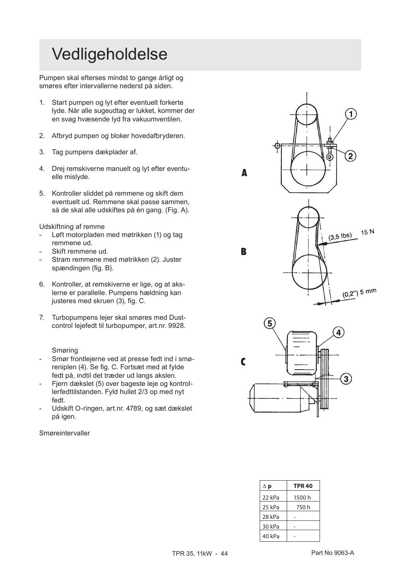# Vedligeholdelse

Pumpen skal efterses mindst to gange årligt og smøres efter intervallerne nederst på siden.

- 1. Start pumpen og lyt efter eventuelt forkerte lyde. Når alle sugeudtag er lukket, kommer der en svag hvæsende lyd fra vakuumventilen.
- 2. Afbryd pumpen og bloker hovedafbryderen.
- 3. Tag pumpens dækplader af.
- 4. Drej remskiverne manuelt og lyt efter eventuelle mislyde.
- 5. Kontroller sliddet på remmene og skift dem eventuelt ud. Remmene skal passe sammen, så de skal alle udskiftes på én gang. (Fig. A).

Udskiftning af remme

- Løft motorpladen med møtrikken (1) og tag remmene ud.
- Skift remmene ud.
- Stram remmene med møtrikken (2). Juster spændingen (fig. B).
- 6. Kontroller, at remskiverne er lige, og at akslerne er parallelle. Pumpens hældning kan justeres med skruen (3), fig. C.
- 7. Turbopumpens lejer skal smøres med Dustcontrol lejefedt til turbopumper, art.nr. 9928.

# Smøring

- Smør frontlejerne ved at presse fedt ind i smøreniplen (4). Se fig. C. Fortsæt med at fylde fedt på, indtil det træder ud langs akslen.
- Fjern dækslet (5) over bageste leje og kontrollerfedttilstanden. Fyld hullet 2/3 op med nyt fedt.
- Udskift O-ringen, art.nr. 4789, og sæt dækslet på igen.

Smøreintervaller





B

| $\Delta$ p | <b>TPR 40</b> |
|------------|---------------|
| 22 kPa     | 1500h         |
| 25 kPa     | 750 h         |
| 28 kPa     |               |
| 30 kPa     |               |
| 40 kPa     |               |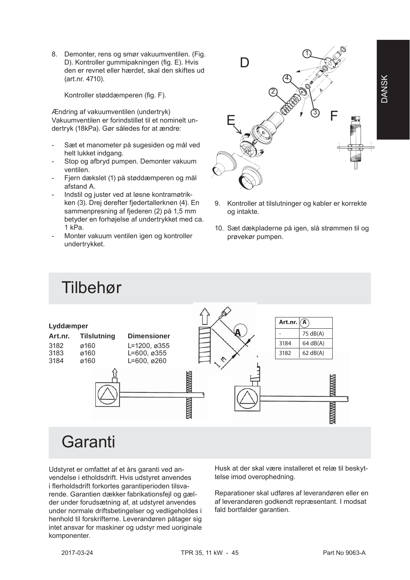8. Demonter, rens og smør vakuumventilen. (Fig. D). Kontroller gummipakningen (fig. E). Hyis den er revnet eller hærdet, skal den skiftes ud (art.nr. 4710).

Kontroller støddæmperen (fig. F).

Ændring af vakuumventilen (undertryk) Vakuumventilen er forindstillet til et nominelt undertryk (18kPa). Gør således for at ændre:

- Sæt et manometer på sugesiden og mål ved helt lukket indgang.
- Stop og afbryd pumpen. Demonter vakuum ventilen.
- Fiern dækslet (1) på støddæmperen og mål afstand A.
- Indstil og juster ved at løsne kontramøtrikken (3). Drej derefter fjedertallerknen (4). En sammenpresning af fjederen (2) på 1,5 mm betyder en forhøjelse af undertrykket med ca. 1 kPa.
- Monter vakuum ventilen igen og kontroller undertrykket.



- 9. Kontroller at tilslutninger og kabler er korrekte og intakte.
- 10. Sæt dækpladerne på igen, slå strømmen til og prøvekør pumpen.

Art.nr.  $\widehat{A}$ 

# Tilbehør

| Lyddæmper |                    |                          |                                  | $\mathbf{a}$ |                                  |  |
|-----------|--------------------|--------------------------|----------------------------------|--------------|----------------------------------|--|
| Art.nr.   | <b>Tilslutning</b> | <b>Dimensioner</b>       |                                  |              | 75 dB(A)                         |  |
| 3182      | ø160               | L=1200, ø355             |                                  | 3184         | 64 dB(A)                         |  |
| 3183      | ø160               | $L = 600, \emptyset$ 355 |                                  | 3182         | 62 dB(A)                         |  |
| 3184      | ø160               | $L = 600, \emptyset 260$ |                                  |              |                                  |  |
|           |                    |                          | <b>MANAWAY</b><br><b>MANAMAY</b> |              | <b>MANAWAY</b><br><b>MANAMAN</b> |  |
|           | Garanti            |                          |                                  |              |                                  |  |

Udstyret er omfattet af et års garanti ved anvendelse i etholdsdrift. Hvis udstyret anvendes i flerholdsdrift forkortes garantiperioden tilsvarende. Garantien dækker fabrikationsfejl og gælder under forudsætning af, at udstyret anvendes under normale driftsbetingelser og vedligeholdes i henhold til forskrifterne. Leverandøren påtager sig intet ansvar for maskiner og udstyr med uoriginale komponenter.

Husk at der skal være installeret et relæ til beskyttelse imod overophedning.

Reparationer skal udføres af leverandøren eller en af leverandøren godkendt repræsentant. I modsat fald bortfalder garantien.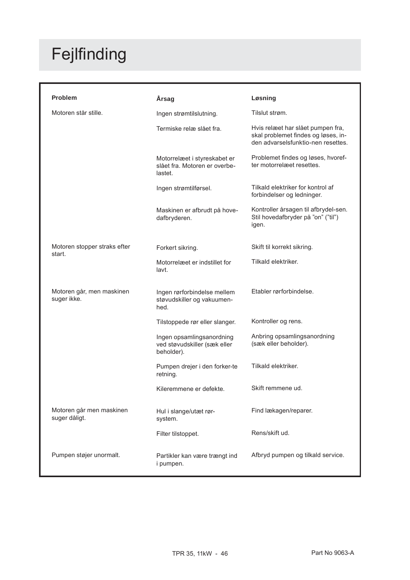# Fejlfinding

| <b>Problem</b>                            | Årsag                                                                    | Løsning                                                                                                        |
|-------------------------------------------|--------------------------------------------------------------------------|----------------------------------------------------------------------------------------------------------------|
| Motoren står stille.                      | Ingen strømtilslutning.                                                  | Tilslut strøm.                                                                                                 |
|                                           | Termiske relæ slået fra.                                                 | Hvis relæet har slået pumpen fra,<br>skal problemet findes og løses, in-<br>den advarselsfunktio-nen resettes. |
|                                           | Motorrelæet i styreskabet er<br>slået fra. Motoren er overbe-<br>lastet. | Problemet findes og løses, hvoref-<br>ter motorrelæet resettes.                                                |
|                                           | Ingen strømtilførsel.                                                    | Tilkald elektriker for kontrol af<br>forbindelser og ledninger.                                                |
|                                           | Maskinen er afbrudt på hove-<br>dafbryderen.                             | Kontroller årsagen til afbrydel-sen.<br>Stil hovedafbryder på "on" ("til")<br>igen.                            |
| Motoren stopper straks efter              | Forkert sikring.                                                         | Skift til korrekt sikring.                                                                                     |
| start.                                    | Motorrelæet er indstillet for<br>lavt.                                   | Tilkald elektriker.                                                                                            |
| Motoren går, men maskinen<br>suger ikke.  | Ingen rørforbindelse mellem<br>støvudskiller og vakuumen-<br>hed.        | Etabler rørforbindelse.                                                                                        |
|                                           | Tilstoppede rør eller slanger.                                           | Kontroller og rens.                                                                                            |
|                                           | Ingen opsamlingsanordning<br>ved støvudskiller (sæk eller<br>beholder).  | Anbring opsamlingsanordning<br>(sæk eller beholder).                                                           |
|                                           | Pumpen drejer i den forker-te<br>retning.                                | Tilkald elektriker.                                                                                            |
|                                           | Kileremmene er defekte.                                                  | Skift remmene ud.                                                                                              |
| Motoren går men maskinen<br>suger dåligt. | Hul i slange/utæt rør-<br>system.                                        | Find lækagen/reparer.                                                                                          |
|                                           | Filter tilstoppet.                                                       | Rens/skift ud.                                                                                                 |
| Pumpen støjer unormalt.                   | Partikler kan være trængt ind<br>i pumpen.                               | Afbryd pumpen og tilkald service.                                                                              |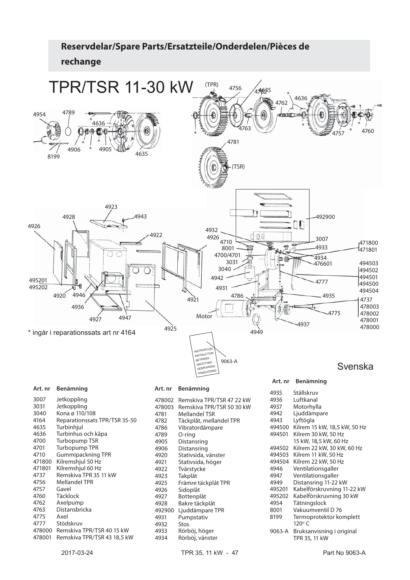

| ا د טډ | JEINUPPIIIIY                  |
|--------|-------------------------------|
| 3040   | Kona ø 110/108                |
| 4164   | Reparationssats TPR/TSR 35-50 |
| 4635   | Turbinhjul                    |
| 4636   | Turbinhus och kåpa            |
| 4700   | Turbopump TSR                 |
| 4701   | <b>Turbopump TPR</b>          |
| 4710   | <b>Gummipackning TPR</b>      |
| 471800 | Kilremshjul 50 Hz             |
| 471801 | Kilremshjul 60 Hz             |
| 4737   | Remskiva TPR 35 11 kW         |
| 4756   | <b>Mellandel TPR</b>          |
| 4757   | Gavel                         |
| 4760   | Täcklock                      |
| 4762   | Axelpump                      |
| 4763   | Distansbricka                 |
| 4775   | Axel                          |
| 4777   | Stödskruv                     |
| 478000 | Remskiva TPR/TSR 40 15 kW     |
| 478001 | Remskiva TPR/TSR 43 18,5 kW   |

| 478002 | Remskiva TPR/TSR 47 22 kW |
|--------|---------------------------|
| 478003 | Remskiva TPR/TSR 50 30 kW |
| 4781   | Mellandel TSR             |
| 4782   | Täckplåt, mellandel TPR   |
| 4786   | Vibratordämpare           |
| 4789   | O-ring                    |
| 4905   | Distansring               |
| 4906   | Distansring               |
| 4920   | Stativsida, vänster       |
| 4921   | Stativsida, höger         |
| 4922   | Tvärstycke                |
| 4923   | Takplåt                   |
| 4925   | Främre täckplåt TPR       |
| 4926   | Sidoplåt                  |
| 4927   | Bottenplåt                |
| 4928   | Bakre täckplåt            |
| 492900 | Ljuddämpare TPR           |
| 4931   | Pumpstativ                |
| 4932   | Stos                      |
| 4933   | Rörböj, höger             |
| 4934   | Rörböj, vänster           |

# 4942 Ljuddämpare<br>4943 Lyftögla Lyftögla 494500 Kilrem 15 kW, 18,5 kW, 50 Hz 494501 Kilrem 30 kW, 50 Hz 15 kW, 18,5 kW, 60 Hz<br>: 494502 Kilrem 22 kW, 30 kW, Kilrem 22 kW, 30 kW, 60 Hz 494503 Kilrem 11 kW, 50 Hz 494504 Kilrem 22 kW, 50 Hz<br>4946 Ventilationsgaller Ventilationsgaller 4947 Ventilationsgaller<br>4949 Distansring 11-22 4949 Distansring 11-22 kW<br>495201 Kabelförskruvning 11 495201 Kabelförskruvning 11-22 kW 495202 Kabelförskruvning 30 kW 4954 Tätningslock<br>8001 Vakuumventi 8001 Vakuumventil D 76<br>8199 Termoprotektor ko Termoprotektor komplett 120°C 9063-A Bruksanvisning i original TPR 35, 11 kW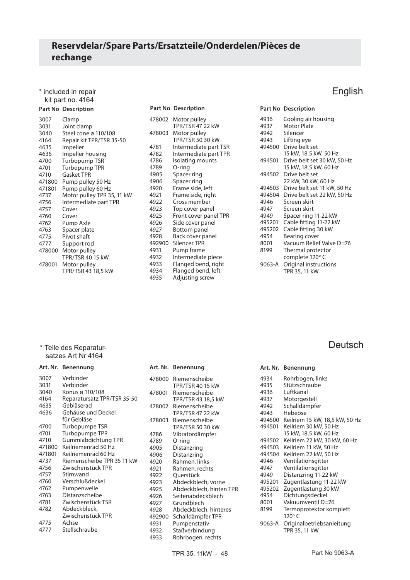\* included in repair kit part no. 4164

# **Part No Description**

| Part No Descriptio |  |  |
|--------------------|--|--|
|                    |  |  |

| 3007   | Clamp                      |
|--------|----------------------------|
| 3031   | Joint clamp                |
| 3040   | Steel cone ø 110/108       |
| 4164   | Repair kit TPR/TSR 35-50   |
| 4635   | Impeller                   |
| 4636   | Impeller housing           |
| 4700   | Turbopump TSR              |
| 4701   | <b>Turbopump TPR</b>       |
| 4710   | <b>Gasket TPR</b>          |
| 471800 | Pump pulley 50 Hz          |
| 471801 | Pump pulley 60 Hz          |
| 4737   | Motor pulley TPR 35, 11 kW |
| 4756   | Intermediate part TPR      |
| 4757   | Cover                      |
| 4760   | Cover                      |
| 4762   | Pump Axle                  |
| 4763   | Spacer plate               |
| 4775   | Pivot shaft                |
| 4777   | Support rod                |
| 478000 | Motor pulley               |
|        | <b>TPR/TSR 40 15 kW</b>    |
| 478001 | Motor pulley               |
|        | TPR/TSR 43 18,5 kW         |
|        |                            |

|        | <b>Part No Description</b>              |              | <b>Part No Description</b>   |
|--------|-----------------------------------------|--------------|------------------------------|
| 478002 | Motor pulley<br><b>TPR/TSR 47 22 kW</b> | 4936<br>4937 | Cooling air h<br>Motor Plate |
| 478003 | Motor pulley                            | 4942         | Silencer                     |
|        | <b>TPR/TSR 50 30 kW</b>                 | 4943         | Lifting eye                  |
| 4781   | Intermediate part TSR                   | 494500       | Drive belt se                |
| 4782   | Intermediate part TPR                   |              | 15 kW, 18.5 k                |
| 4786   | Isolating mounts                        | 494501       | Drive belt se                |
| 4789   | O-ring                                  |              | 15 kW, 18.5 k                |
| 4905   | Spacer ring                             | 494502       | Drive belt se                |
| 4906   | Spacer ring                             |              | 22 kW, 30 kV                 |
| 4920   | Frame side, left                        | 494503       | Drive belt se                |
| 4921   | Frame side, right                       | 494504       | Drive belt se                |
| 4922   | Cross member                            | 4946         | Screen skirt                 |
| 4923   | Top cover panel                         | 4947         | Screen skirt                 |
| 4925   | Front cover panel TPR                   | 4949         | Spacer ring                  |
| 4926   | Side cover panel                        | 495201       | Cable fitting                |
| 4927   | <b>Bottom panel</b>                     | 495202       | Cable fitting                |
| 4928   | Back cover panel                        | 4954         | Bearing cove                 |
| 492900 | Silencer TPR                            | 8001         | Vacuum Reli                  |
| 4931   | Pump frame                              | 8199         | Thermal pro                  |
| 4932   | Intermediate piece                      |              | complete 12                  |
| 4933   | Flanged bend, right                     | 9063-A       | Original inst                |
| 4934   | Flanged bend, left                      |              | TPR 35, 11 kV                |
| 4935   | Adjusting screw                         |              |                              |
|        |                                         |              |                              |

English

**Deutsch** 

| 4936   | Cooling air housing         |
|--------|-----------------------------|
| 4937   | Motor Plate                 |
| 4942   | Silencer                    |
| 4943   | Lifting eye                 |
| 494500 | Drive belt set              |
|        | 15 kW, 18.5 kW, 50 Hz       |
| 494501 | Drive belt set 30 kW, 50 Hz |
|        | 15 kW, 18.5 kW, 60 Hz       |
| 494502 | Drive belt set              |
|        | 22 kW, 30 kW, 60 Hz         |
| 494503 | Drive belt set 11 kW, 50 Hz |
| 494504 | Drive belt set 22 kW, 50 Hz |
| 4946   | Screen skirt                |
| 4947   | Screen skirt                |
| 4949   | Spacer ring 11-22 kW        |
| 495201 | Cable fitting 11-22 kW      |
| 495202 | Cable fitting 30 kW         |
| 4954   | Bearing cover               |
| 8001   | Vacuum Relief Valve D=76    |
| 8199   | Thermal protector           |
|        | complete 120° C             |
| 9063-A | Original instructions       |
|        | TPR 35, 11 kW               |
|        |                             |

# \* Teile des Reparatur satzes Art Nr 4164

|        | Art. Nr. Benennung          | Art. I |
|--------|-----------------------------|--------|
| 3007   | Verbinder                   | 4780   |
| 3031   | Verbinder                   |        |
| 3040   | Konus ø 110/108             | 4780   |
| 4164   | Reparatursatz TPR/TSR 35-50 |        |
| 4635   | Gebläserad                  | 4780   |
| 4636   | Gehäuse und Deckel          |        |
|        | für Gebläse                 | 4780   |
| 4700   | Turbopumpe TSR              |        |
| 4701   | Turbopumpe TPR              | 4786   |
| 4710   | Gummiabdichtung TPR         | 4789   |
| 471800 | Keilriemenrad 50 Hz         | 4905   |
| 471801 | Keilriemenrad 60 Hz         | 4906   |
| 4737   | Riemenscheibe TPR 35 11 kW  | 4920   |
| 4756   | Zwischenstück TPR           | 4921   |
| 4757   | Stirnwand                   | 4922   |
| 4760   | Verschlußdeckel             | 4923   |
| 4762   | Pumpenwelle                 | 4925   |
| 4763   | Distanzscheibe              | 4926   |
| 4781   | Zwischenstück TSR           | 4927   |
| 4782   | Abdeckbleck,                | 4928   |
|        | Zwischenstück TPR           | 4929   |
| 4775   | Achse                       | 4931   |
| 4777   | Stellschraube               | 4932   |

| 478000 | Riemenscheibe<br><b>TPR/TSR 40 15 kW</b> | 4934<br>4935 | Rohrbogen,<br>Stützschrau |
|--------|------------------------------------------|--------------|---------------------------|
| 478001 | Riemenscheibe                            | 4936         | Luftkanal                 |
|        | TPR/TSR 43 18,5 kW                       | 4937         | Motorgestel               |
| 478002 | Riemenscheibe                            | 4942         | Schalldämp                |
|        | <b>TPR/TSR 47 22 kW</b>                  | 4943         | Hebeöse                   |
| 478003 | Riemenscheibe                            | 494500       | Keilriem 15               |
|        | <b>TPR/TSR 50 30 kW</b>                  | 494501       | Keilriem 30               |
| 4786   | Vibratordämpfer                          |              | 15 kW, 18,5 l             |
| 4789   | O-ring                                   | 494502       | Keilriem 22               |
| 4905   | Distanzring                              | 494503       | Keilriem 11               |
| 4906   | Distanzring                              | 494504       | Keilriem 22               |
| 4920   | Rahmen, links                            | 4946         | Ventilations              |
| 4921   | Rahmen, rechts                           | 4947         | Ventilations              |
| 4922   | Querstück                                | 4949         | Distanzring               |
| 4923   | Abdeckblech, vorne                       | 495201       | Zugentlastu               |
| 4925   | Abdeckblech, hinten TPR                  | 495202       | Zugentlastu               |
| 4926   | Seitenabdeckblech                        | 4954         | Dichtungsd                |
| 4927   | Grundblech                               | 8001         | Vakuumven                 |
| 4928   | Abdeckblech, hinteres                    | 8199         | Termoprote                |
| 492900 | Schalldämpfer TPR                        |              | 120°C                     |
| 4931   | Pumpenstativ                             | 9063-A       | Originalbetr              |
| 4932   | Staßverbindung                           |              | TPR 35, 11 k              |
| 4933   | Rohrbogen, rechts                        |              |                           |

|        | Art. Nr. Benennung                         |
|--------|--------------------------------------------|
| 4934   | Rohrbogen, links                           |
| 4935   | Stützschraube                              |
| 4936   | Luftkanal                                  |
| 4937   | Motorgestell                               |
| 4942   | Schalldämpfer                              |
| 4943   | Hebeöse                                    |
| 494500 | Keilriem 15 kW, 18,5 kW, 50 Hz             |
| 494501 | Keilriem 30 kW, 50 Hz                      |
|        | 15 kW, 18,5 kW, 60 Hz                      |
| 494502 | Keilriem 22 kW, 30 kW, 60 Hz               |
| 494503 | Keilriem 11 kW, 50 Hz                      |
| 494504 | Keilriem 22 kW, 50 Hz                      |
| 4946   | Ventilationsgitter                         |
| 4947   | Ventilationsgitter                         |
| 4949   | Distanzring 11-22 kW                       |
| 495201 | Zugentlastung 11-22 kW                     |
| 495202 | Zugentlastung 30 kW                        |
| 4954   | Dichtungsdeckel                            |
| 8001   | Vakuumventil D=76                          |
| 8199   | Termoprotektor komplett<br>$120^\circ C$   |
| 9063-A | Originalbetriebsanleitung<br>TPR 35, 11 kW |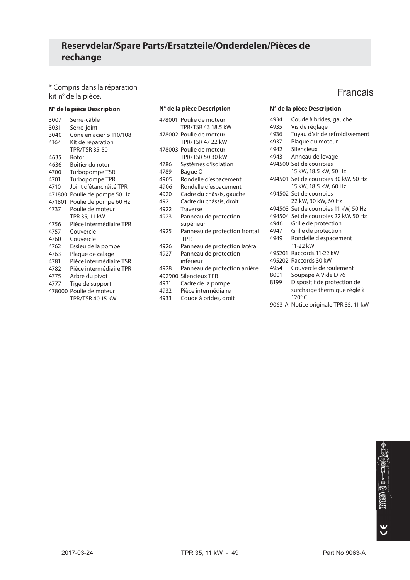\* Compris dans la réparation " Compris dans la reparation<br>kit n° de la pièce.

### **N° de la pièce Description**

| 3007   | Serre-câble             |
|--------|-------------------------|
| 3031   | Serre-joint             |
| 3040   | Cône en acier ø 110/108 |
| 4164   | Kit de réparation       |
|        | <b>TPR/TSR 35-50</b>    |
| 4635   | Rotor                   |
| 4636   | Boîtier du rotor        |
| 4700   | Turbopompe TSR          |
| 4701   | Turbopompe TPR          |
| 4710   | Joint d'étanchéité TPR  |
| 471800 | Poulie de pompe 50 Hz   |
| 471801 | Poulie de pompe 60 Hz   |
| 4737   | Poulie de moteur        |
|        | TPR 35, 11 kW           |
| 4756   | Pièce intermédiaire TPR |
| 4757   | Couvercle               |
| 4760   | Couvercle               |
| 4762   | Essieu de la pompe      |
| 4763   | Plaque de calage        |
| 4781   | Pièce intermédiaire TSR |
| 4782   | Pièce intermédiaire TPR |
| 4775   | Arbre du pivot          |
| 4777   | Tige de support         |
|        | 478000 Poulie de moteur |
|        | TPR/TSR 40 15 kW        |

### **N° de la pièce Description N° de la pièce Description**

|      | 478001 Poulie de moteur                     |
|------|---------------------------------------------|
|      | TPR/TSR 43 18,5 kW                          |
|      | 478002 Poulie de moteur                     |
|      | <b>TPR/TSR 47 22 kW</b>                     |
|      | 478003 Poulie de moteur                     |
|      | <b>TPR/TSR 50 30 kW</b>                     |
| 4786 | Systèmes d'isolation                        |
| 4789 | Baque O                                     |
| 4905 | Rondelle d'espacement                       |
| 4906 | Rondelle d'espacement                       |
| 4920 | Cadre du châssis, gauche                    |
| 4921 | Cadre du châssis, droit                     |
| 4922 | <b>Traverse</b>                             |
| 4923 | Panneau de protection                       |
|      | supérieur                                   |
| 4925 | Panneau de protection frontal<br><b>TPR</b> |
| 4926 | Panneau de protection latéral               |
| 4927 | Panneau de protection                       |
|      | inférieur                                   |
| 4928 | Panneau de protection arrière               |
|      | 492900 Silencieux TPR                       |
| 4931 | Cadre de la pompe                           |
| 4932 | Pièce intermédiaire                         |
| 4933 | Coude à brides, droit                       |

| 4934   | Coude à brides, gauche                       |
|--------|----------------------------------------------|
| 4935   | Vis de réglage                               |
| 4936   | Tuyau d'air de refroidissement               |
| 4937   | Plaque du moteur                             |
| 4942   | Silencieux                                   |
| 4943   | Anneau de levage                             |
|        | 494500 Set de courroies                      |
|        | 15 kW, 18.5 kW, 50 Hz                        |
|        | 494501 Set de courroies 30 kW, 50 Hz         |
|        | 15 kW, 18.5 kW, 60 Hz                        |
|        | 494502 Set de courroies                      |
|        | 22 kW, 30 kW, 60 Hz                          |
|        | 494503 Set de courroies 11 kW, 50 Hz         |
|        | 494504 Set de courroies 22 kW, 50 Hz         |
| 4946   | Grille de protection                         |
| 4947   | Grille de protection                         |
| 4949   | Rondelle d'espacement                        |
|        | 11-22 kW                                     |
| 495201 | Raccords 11-22 kW                            |
|        | 495202 Raccords 30 kW                        |
| 4954   | Couvercle de roulement                       |
| 8001   | Soupape A Vide D 76                          |
| 8199   | Dispositif de protection de                  |
|        | surcharge thermique réglé à<br>$120^\circ C$ |
|        | 9063-A Notice originale TPR 35, 11 kW        |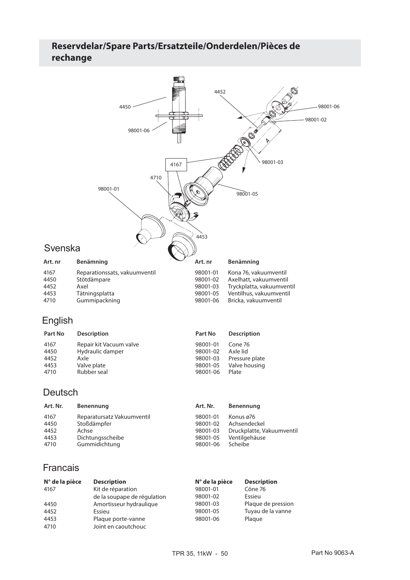# **Reservdelar/Spare Parts/Ersatzteile/Onderdelen/Pièces de rechange**



# English

| Part No | <b>Description</b>      | Part No  | <b>Description</b> |
|---------|-------------------------|----------|--------------------|
| 4167    | Repair kit Vacuum valve | 98001-01 | Cone 76            |
| 4450    | Hydraulic damper        | 98001-02 | Axle lid           |
| 4452    | Axle                    | 98001-03 | Pressure plate     |
| 4453    | Valve plate             | 98001-05 | Valve housing      |
| 4710    | Rubber seal             | 98001-06 | Plate              |

# Deutsch

| Art. Nr. | Benennung                  | Art. Nr. | Benennung                 |
|----------|----------------------------|----------|---------------------------|
| 4167     | Reparatursatz Vakuumventil | 98001-01 | Konus ø76                 |
| 4450     | Stoßdämpfer                | 98001-02 | Achsendeckel              |
| 4452     | Achse                      | 98001-03 | Druckplatte, Vakuumventil |
| 4453     | Dichtungsscheibe           | 98001-05 | Ventilgehäuse             |
| 4710     | Gummidichtung              | 98001-06 | Scheibe                   |

# Francais

| $N^{\circ}$ de la pièce | <b>Description</b>          | $N^{\circ}$ de la pièce | <b>Description</b> |
|-------------------------|-----------------------------|-------------------------|--------------------|
| 4167                    | Kit de réparation           | 98001-01                | Cône 76            |
|                         | de la soupape de régulation | 98001-02                | Essieu             |
| 4450                    | Amortisseur hydraulique     | 98001-03                | Plaque de pression |
| 4452                    | Essieu                      | 98001-05                | Tuyau de la vanne  |
| 4453                    | Plaque porte-vanne          | 98001-06                | Plague             |
| 4710                    | Joint en caoutchouc         |                         |                    |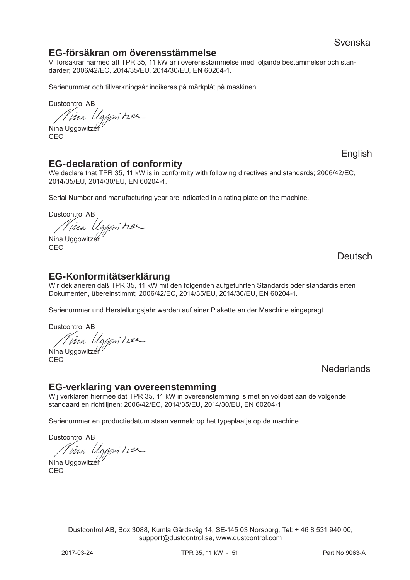# **EG-försäkran om överensstämmelse**

Vi försäkrar härmed att TPR 35, 11 kW är i överensstämmelse med följande bestämmelser och standarder; 2006/42/EC, 2014/35/EU, 2014/30/EU, EN 60204-1.

Serienummer och tillverkningsår indikeras på märkplåt på maskinen.

Dustcontrol AB

Nina Uggowitzer

CEO

# **EG-declaration of conformity**

We declare that TPR 35, 11 kW is in conformity with following directives and standards; 2006/42/EC, 2014/35/EU, 2014/30/EU, EN 60204-1.

Serial Number and manufacturing year are indicated in a rating plate on the machine.

Dustcontrol AB

*Nina Uggomitzee* CEO

**Deutsch** 

English

# **EG-Konformitätserklärung**

Wir deklarieren daß TPR 35, 11 kW mit den folgenden aufgeführten Standards oder standardisierten Dokumenten, übereinstimmt; 2006/42/EC, 2014/35/EU, 2014/30/EU, EN 60204-1.

Serienummer und Herstellungsjahr werden auf einer Plakette an der Maschine eingeprägt.

Dustcontrol AB

*Nina Uggonitier*<br>Nina Uggowitzer

CEO

**Nederlands** 

# **EG-verklaring van overeenstemming**

Wij verklaren hiermee dat TPR 35, 11 kW in overeenstemming is met en voldoet aan de volgende standaard en richtlijnen: 2006/42/EC, 2014/35/EU, 2014/30/EU, EN 60204-1

Serienummer en productiedatum staan vermeld op het typeplaatje op de machine.

Dustcontrol AB

*Nina Uggonitier* 

CEO

Dustcontrol AB, Box 3088, Kumla Gårdsväg 14, SE-145 03 Norsborg, Tel: + 46 8 531 940 00,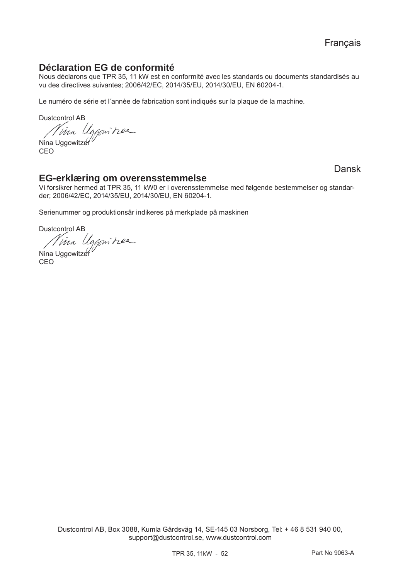# **Déclaration EG de conformité**

Nous déclarons que TPR 35, 11 kW est en conformité avec les standards ou documents standardisés au vu des directives suivantes; 2006/42/EC, 2014/35/EU, 2014/30/EU, EN 60204-1.

Le numéro de série et l´annèe de fabrication sont indiqués sur la plaque de la machine.

Dustcontrol AB

Nina Uggowitzer

CEO

# Dansk

# **EG-erklæring om overensstemmelse**

Vi forsikrer hermed at TPR 35, 11 kW0 er i overensstemmelse med følgende bestemmelser og standarder; 2006/42/EC, 2014/35/EU, 2014/30/EU, EN 60204-1.

Serienummer og produktionsår indikeres på merkplade på maskinen

Dustcontrol AB

Nina Uggowitzer

CEO